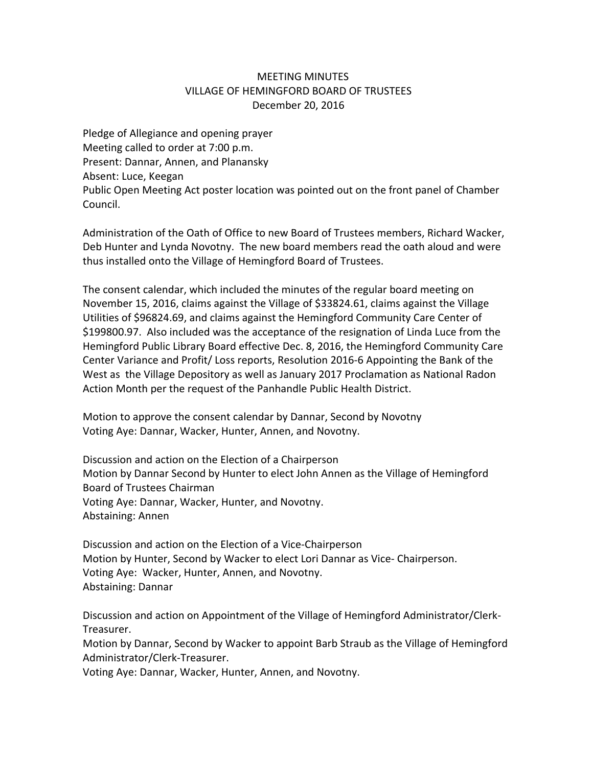## MEETING MINUTES VILLAGE OF HEMINGFORD BOARD OF TRUSTEES December 20, 2016

Pledge of Allegiance and opening prayer Meeting called to order at 7:00 p.m. Present: Dannar, Annen, and Planansky Absent: Luce, Keegan Public Open Meeting Act poster location was pointed out on the front panel of Chamber Council.

Administration of the Oath of Office to new Board of Trustees members, Richard Wacker, Deb Hunter and Lynda Novotny. The new board members read the oath aloud and were thus installed onto the Village of Hemingford Board of Trustees.

The consent calendar, which included the minutes of the regular board meeting on November 15, 2016, claims against the Village of \$33824.61, claims against the Village Utilities of \$96824.69, and claims against the Hemingford Community Care Center of \$199800.97. Also included was the acceptance of the resignation of Linda Luce from the Hemingford Public Library Board effective Dec. 8, 2016, the Hemingford Community Care Center Variance and Profit/ Loss reports, Resolution 2016‐6 Appointing the Bank of the West as the Village Depository as well as January 2017 Proclamation as National Radon Action Month per the request of the Panhandle Public Health District.

Motion to approve the consent calendar by Dannar, Second by Novotny Voting Aye: Dannar, Wacker, Hunter, Annen, and Novotny.

Discussion and action on the Election of a Chairperson Motion by Dannar Second by Hunter to elect John Annen as the Village of Hemingford Board of Trustees Chairman Voting Aye: Dannar, Wacker, Hunter, and Novotny. Abstaining: Annen

Discussion and action on the Election of a Vice‐Chairperson Motion by Hunter, Second by Wacker to elect Lori Dannar as Vice‐ Chairperson. Voting Aye: Wacker, Hunter, Annen, and Novotny. Abstaining: Dannar

Discussion and action on Appointment of the Village of Hemingford Administrator/Clerk‐ Treasurer.

Motion by Dannar, Second by Wacker to appoint Barb Straub as the Village of Hemingford Administrator/Clerk‐Treasurer.

Voting Aye: Dannar, Wacker, Hunter, Annen, and Novotny.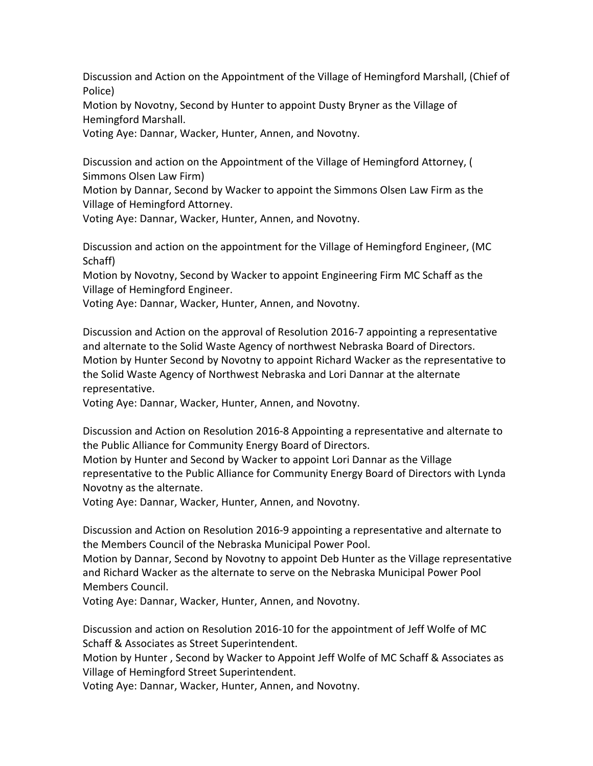Discussion and Action on the Appointment of the Village of Hemingford Marshall, (Chief of Police)

Motion by Novotny, Second by Hunter to appoint Dusty Bryner as the Village of Hemingford Marshall.

Voting Aye: Dannar, Wacker, Hunter, Annen, and Novotny.

Discussion and action on the Appointment of the Village of Hemingford Attorney, ( Simmons Olsen Law Firm)

Motion by Dannar, Second by Wacker to appoint the Simmons Olsen Law Firm as the Village of Hemingford Attorney.

Voting Aye: Dannar, Wacker, Hunter, Annen, and Novotny.

Discussion and action on the appointment for the Village of Hemingford Engineer, (MC Schaff)

Motion by Novotny, Second by Wacker to appoint Engineering Firm MC Schaff as the Village of Hemingford Engineer.

Voting Aye: Dannar, Wacker, Hunter, Annen, and Novotny.

Discussion and Action on the approval of Resolution 2016‐7 appointing a representative and alternate to the Solid Waste Agency of northwest Nebraska Board of Directors. Motion by Hunter Second by Novotny to appoint Richard Wacker as the representative to the Solid Waste Agency of Northwest Nebraska and Lori Dannar at the alternate representative.

Voting Aye: Dannar, Wacker, Hunter, Annen, and Novotny.

Discussion and Action on Resolution 2016‐8 Appointing a representative and alternate to the Public Alliance for Community Energy Board of Directors.

Motion by Hunter and Second by Wacker to appoint Lori Dannar as the Village representative to the Public Alliance for Community Energy Board of Directors with Lynda Novotny as the alternate.

Voting Aye: Dannar, Wacker, Hunter, Annen, and Novotny.

Discussion and Action on Resolution 2016‐9 appointing a representative and alternate to the Members Council of the Nebraska Municipal Power Pool.

Motion by Dannar, Second by Novotny to appoint Deb Hunter as the Village representative and Richard Wacker as the alternate to serve on the Nebraska Municipal Power Pool Members Council.

Voting Aye: Dannar, Wacker, Hunter, Annen, and Novotny.

Discussion and action on Resolution 2016‐10 for the appointment of Jeff Wolfe of MC Schaff & Associates as Street Superintendent.

Motion by Hunter , Second by Wacker to Appoint Jeff Wolfe of MC Schaff & Associates as Village of Hemingford Street Superintendent.

Voting Aye: Dannar, Wacker, Hunter, Annen, and Novotny.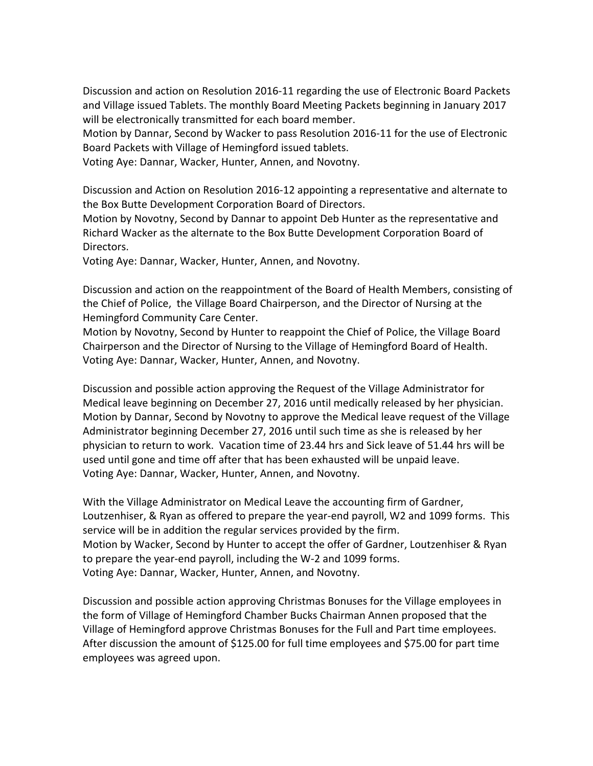Discussion and action on Resolution 2016‐11 regarding the use of Electronic Board Packets and Village issued Tablets. The monthly Board Meeting Packets beginning in January 2017 will be electronically transmitted for each board member.

Motion by Dannar, Second by Wacker to pass Resolution 2016‐11 for the use of Electronic Board Packets with Village of Hemingford issued tablets.

Voting Aye: Dannar, Wacker, Hunter, Annen, and Novotny.

Discussion and Action on Resolution 2016‐12 appointing a representative and alternate to the Box Butte Development Corporation Board of Directors.

Motion by Novotny, Second by Dannar to appoint Deb Hunter as the representative and Richard Wacker as the alternate to the Box Butte Development Corporation Board of Directors.

Voting Aye: Dannar, Wacker, Hunter, Annen, and Novotny.

Discussion and action on the reappointment of the Board of Health Members, consisting of the Chief of Police, the Village Board Chairperson, and the Director of Nursing at the Hemingford Community Care Center.

Motion by Novotny, Second by Hunter to reappoint the Chief of Police, the Village Board Chairperson and the Director of Nursing to the Village of Hemingford Board of Health. Voting Aye: Dannar, Wacker, Hunter, Annen, and Novotny.

Discussion and possible action approving the Request of the Village Administrator for Medical leave beginning on December 27, 2016 until medically released by her physician. Motion by Dannar, Second by Novotny to approve the Medical leave request of the Village Administrator beginning December 27, 2016 until such time as she is released by her physician to return to work. Vacation time of 23.44 hrs and Sick leave of 51.44 hrs will be used until gone and time off after that has been exhausted will be unpaid leave. Voting Aye: Dannar, Wacker, Hunter, Annen, and Novotny.

With the Village Administrator on Medical Leave the accounting firm of Gardner, Loutzenhiser, & Ryan as offered to prepare the year‐end payroll, W2 and 1099 forms. This service will be in addition the regular services provided by the firm. Motion by Wacker, Second by Hunter to accept the offer of Gardner, Loutzenhiser & Ryan to prepare the year‐end payroll, including the W‐2 and 1099 forms. Voting Aye: Dannar, Wacker, Hunter, Annen, and Novotny.

Discussion and possible action approving Christmas Bonuses for the Village employees in the form of Village of Hemingford Chamber Bucks Chairman Annen proposed that the Village of Hemingford approve Christmas Bonuses for the Full and Part time employees. After discussion the amount of \$125.00 for full time employees and \$75.00 for part time employees was agreed upon.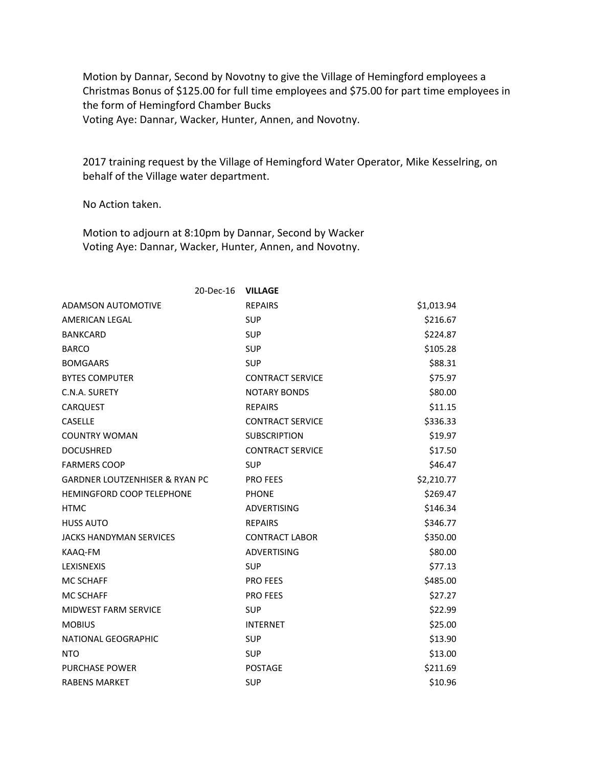Motion by Dannar, Second by Novotny to give the Village of Hemingford employees a Christmas Bonus of \$125.00 for full time employees and \$75.00 for part time employees in the form of Hemingford Chamber Bucks Voting Aye: Dannar, Wacker, Hunter, Annen, and Novotny.

2017 training request by the Village of Hemingford Water Operator, Mike Kesselring, on behalf of the Village water department.

No Action taken.

Motion to adjourn at 8:10pm by Dannar, Second by Wacker Voting Aye: Dannar, Wacker, Hunter, Annen, and Novotny.

| 20-Dec-16                                 | <b>VILLAGE</b>          |            |
|-------------------------------------------|-------------------------|------------|
| <b>ADAMSON AUTOMOTIVE</b>                 | <b>REPAIRS</b>          | \$1,013.94 |
| <b>AMERICAN LEGAL</b>                     | <b>SUP</b>              | \$216.67   |
| <b>BANKCARD</b>                           | <b>SUP</b>              | \$224.87   |
| <b>BARCO</b>                              | <b>SUP</b>              | \$105.28   |
| <b>BOMGAARS</b>                           | <b>SUP</b>              | \$88.31    |
| <b>BYTES COMPUTER</b>                     | <b>CONTRACT SERVICE</b> | \$75.97    |
| C.N.A. SURETY                             | <b>NOTARY BONDS</b>     | \$80.00    |
| <b>CARQUEST</b>                           | <b>REPAIRS</b>          | \$11.15    |
| <b>CASELLE</b>                            | <b>CONTRACT SERVICE</b> | \$336.33   |
| <b>COUNTRY WOMAN</b>                      | <b>SUBSCRIPTION</b>     | \$19.97    |
| <b>DOCUSHRED</b>                          | <b>CONTRACT SERVICE</b> | \$17.50    |
| <b>FARMERS COOP</b>                       | <b>SUP</b>              | \$46.47    |
| <b>GARDNER LOUTZENHISER &amp; RYAN PC</b> | <b>PRO FEES</b>         | \$2,210.77 |
| <b>HEMINGFORD COOP TELEPHONE</b>          | <b>PHONE</b>            | \$269.47   |
| <b>HTMC</b>                               | ADVERTISING             | \$146.34   |
| <b>HUSS AUTO</b>                          | <b>REPAIRS</b>          | \$346.77   |
| <b>JACKS HANDYMAN SERVICES</b>            | <b>CONTRACT LABOR</b>   | \$350.00   |
| KAAQ-FM                                   | <b>ADVERTISING</b>      | \$80.00    |
| <b>LEXISNEXIS</b>                         | <b>SUP</b>              | \$77.13    |
| <b>MC SCHAFF</b>                          | <b>PRO FEES</b>         | \$485.00   |
| <b>MC SCHAFF</b>                          | <b>PRO FEES</b>         | \$27.27    |
| <b>MIDWEST FARM SERVICE</b>               | <b>SUP</b>              | \$22.99    |
| <b>MOBIUS</b>                             | <b>INTERNET</b>         | \$25.00    |
| NATIONAL GEOGRAPHIC                       | <b>SUP</b>              | \$13.90    |
| <b>NTO</b>                                | <b>SUP</b>              | \$13.00    |
| <b>PURCHASE POWER</b>                     | <b>POSTAGE</b>          | \$211.69   |
| <b>RABENS MARKET</b>                      | <b>SUP</b>              | \$10.96    |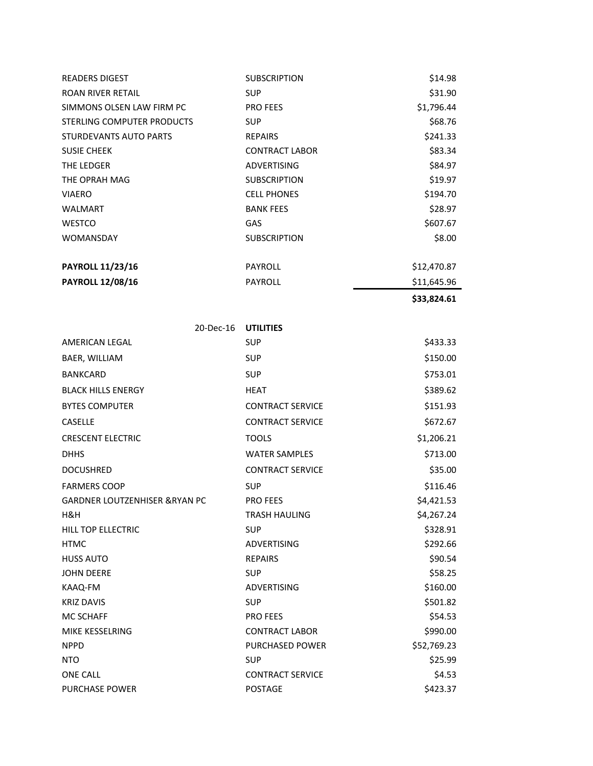| 20-Dec-16                     | <b>UTILITIES</b>      |             |
|-------------------------------|-----------------------|-------------|
|                               |                       | \$33,824.61 |
| <b>PAYROLL 12/08/16</b>       | <b>PAYROLL</b>        | \$11,645.96 |
| <b>PAYROLL 11/23/16</b>       | <b>PAYROLL</b>        | \$12,470.87 |
| <b>WOMANSDAY</b>              | <b>SUBSCRIPTION</b>   | \$8.00      |
| <b>WESTCO</b>                 | GAS                   | \$607.67    |
| <b>WALMART</b>                | <b>BANK FEES</b>      | \$28.97     |
| <b>VIAERO</b>                 | <b>CELL PHONES</b>    | \$194.70    |
| THE OPRAH MAG                 | <b>SUBSCRIPTION</b>   | \$19.97     |
| THE LEDGER                    | <b>ADVERTISING</b>    | \$84.97     |
| <b>SUSIE CHEEK</b>            | <b>CONTRACT LABOR</b> | \$83.34     |
| <b>STURDEVANTS AUTO PARTS</b> | <b>REPAIRS</b>        | \$241.33    |
| STERLING COMPUTER PRODUCTS    | <b>SUP</b>            | \$68.76     |
| SIMMONS OLSEN LAW FIRM PC     | <b>PRO FEES</b>       | \$1,796.44  |
| <b>ROAN RIVER RETAIL</b>      | <b>SUP</b>            | \$31.90     |
| <b>READERS DIGEST</b>         | <b>SUBSCRIPTION</b>   | \$14.98     |

| <b>AMERICAN LEGAL</b>                     | <b>SUP</b>              | \$433.33    |
|-------------------------------------------|-------------------------|-------------|
| BAER, WILLIAM                             | <b>SUP</b>              | \$150.00    |
| <b>BANKCARD</b>                           | <b>SUP</b>              | \$753.01    |
| <b>BLACK HILLS ENERGY</b>                 | <b>HEAT</b>             | \$389.62    |
| <b>BYTES COMPUTER</b>                     | <b>CONTRACT SERVICE</b> | \$151.93    |
| <b>CASELLE</b>                            | <b>CONTRACT SERVICE</b> | \$672.67    |
| <b>CRESCENT ELECTRIC</b>                  | <b>TOOLS</b>            | \$1,206.21  |
| <b>DHHS</b>                               | <b>WATER SAMPLES</b>    | \$713.00    |
| <b>DOCUSHRED</b>                          | <b>CONTRACT SERVICE</b> | \$35.00     |
| <b>FARMERS COOP</b>                       | <b>SUP</b>              | \$116.46    |
| <b>GARDNER LOUTZENHISER &amp; RYAN PC</b> | <b>PRO FEES</b>         | \$4,421.53  |
| H&H                                       | <b>TRASH HAULING</b>    | \$4,267.24  |
| <b>HILL TOP ELLECTRIC</b>                 | <b>SUP</b>              | \$328.91    |
| <b>HTMC</b>                               | <b>ADVERTISING</b>      | \$292.66    |
| <b>HUSS AUTO</b>                          | <b>REPAIRS</b>          | \$90.54     |
| <b>JOHN DEERE</b>                         | <b>SUP</b>              | \$58.25     |
| KAAQ-FM                                   | <b>ADVERTISING</b>      | \$160.00    |
| <b>KRIZ DAVIS</b>                         | <b>SUP</b>              | \$501.82    |
| <b>MC SCHAFF</b>                          | <b>PRO FEES</b>         | \$54.53     |
| MIKE KESSELRING                           | <b>CONTRACT LABOR</b>   | \$990.00    |
| <b>NPPD</b>                               | PURCHASED POWER         | \$52,769.23 |
| <b>NTO</b>                                | <b>SUP</b>              | \$25.99     |
| <b>ONE CALL</b>                           | <b>CONTRACT SERVICE</b> | \$4.53      |
| <b>PURCHASE POWER</b>                     | <b>POSTAGE</b>          | \$423.37    |
|                                           |                         |             |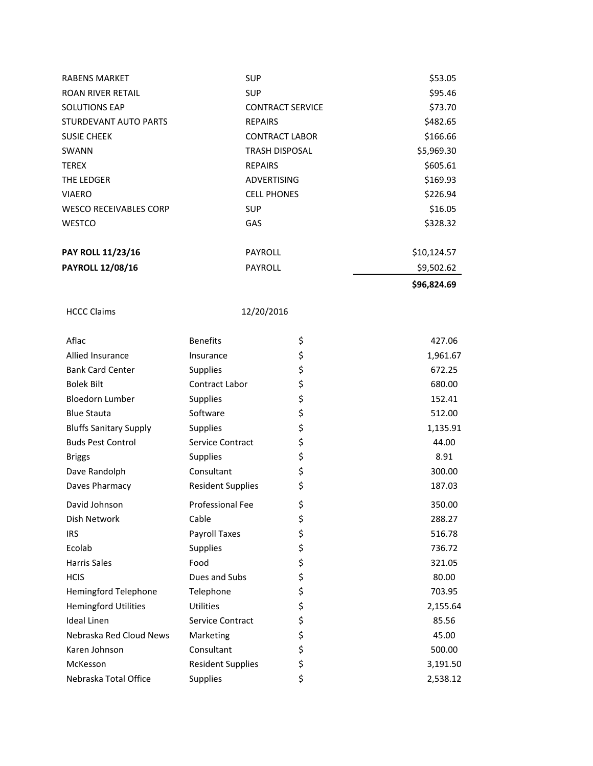| <b>RABENS MARKET</b>          | <b>SUP</b>               |    | \$53.05     |
|-------------------------------|--------------------------|----|-------------|
| ROAN RIVER RETAIL             | <b>SUP</b>               |    | \$95.46     |
| <b>SOLUTIONS EAP</b>          | <b>CONTRACT SERVICE</b>  |    | \$73.70     |
| STURDEVANT AUTO PARTS         | <b>REPAIRS</b>           |    | \$482.65    |
| <b>SUSIE CHEEK</b>            | <b>CONTRACT LABOR</b>    |    | \$166.66    |
| SWANN                         | <b>TRASH DISPOSAL</b>    |    | \$5,969.30  |
| <b>TEREX</b>                  | <b>REPAIRS</b>           |    | \$605.61    |
| THE LEDGER                    | ADVERTISING              |    | \$169.93    |
| <b>VIAERO</b>                 | <b>CELL PHONES</b>       |    | \$226.94    |
| <b>WESCO RECEIVABLES CORP</b> | <b>SUP</b>               |    | \$16.05     |
| <b>WESTCO</b>                 | GAS                      |    | \$328.32    |
| PAY ROLL 11/23/16             | PAYROLL                  |    | \$10,124.57 |
| PAYROLL 12/08/16              | PAYROLL                  |    | \$9,502.62  |
|                               |                          |    | \$96,824.69 |
| <b>HCCC Claims</b>            | 12/20/2016               |    |             |
| Aflac                         | <b>Benefits</b>          | \$ | 427.06      |
| Allied Insurance              | Insurance                | \$ | 1,961.67    |
| <b>Bank Card Center</b>       | <b>Supplies</b>          | \$ | 672.25      |
| <b>Bolek Bilt</b>             | Contract Labor           | \$ | 680.00      |
| <b>Bloedorn Lumber</b>        | <b>Supplies</b>          | \$ | 152.41      |
| <b>Blue Stauta</b>            | Software                 | \$ | 512.00      |
| <b>Bluffs Sanitary Supply</b> | <b>Supplies</b>          | \$ | 1,135.91    |
| <b>Buds Pest Control</b>      | Service Contract         | \$ | 44.00       |
| <b>Briggs</b>                 | <b>Supplies</b>          | \$ | 8.91        |
| Dave Randolph                 | Consultant               | \$ | 300.00      |
| Daves Pharmacy                | <b>Resident Supplies</b> | \$ | 187.03      |
| David Johnson                 | Professional Fee         | \$ | 350.00      |
| Dish Network                  | Cable                    | \$ | 288.27      |
| <b>IRS</b>                    | Payroll Taxes            | \$ | 516.78      |
| Ecolab                        | <b>Supplies</b>          | \$ | 736.72      |
| Harris Sales                  | Food                     | \$ | 321.05      |
| <b>HCIS</b>                   | Dues and Subs            | \$ | 80.00       |
| Hemingford Telephone          | Telephone                | \$ | 703.95      |
| <b>Hemingford Utilities</b>   | <b>Utilities</b>         | \$ | 2,155.64    |
| <b>Ideal Linen</b>            | Service Contract         | \$ | 85.56       |
| Nebraska Red Cloud News       | Marketing                | \$ | 45.00       |
| Karen Johnson                 | Consultant               |    | 500.00      |
| McKesson                      | <b>Resident Supplies</b> |    | 3,191.50    |
| Nebraska Total Office         | <b>Supplies</b>          | \$ | 2,538.12    |